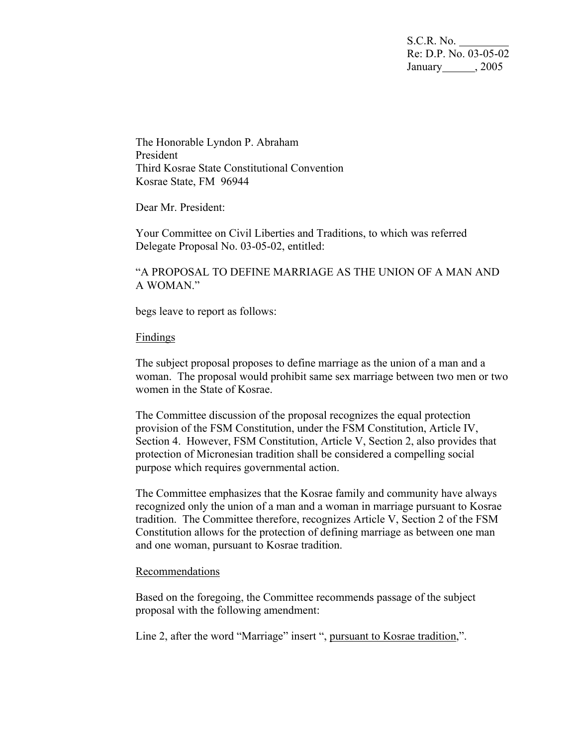S.C.R. No. Re: D.P. No. 03-05-02 January 2005

The Honorable Lyndon P. Abraham President Third Kosrae State Constitutional Convention Kosrae State, FM 96944

Dear Mr. President:

Your Committee on Civil Liberties and Traditions, to which was referred Delegate Proposal No. 03-05-02, entitled:

"A PROPOSAL TO DEFINE MARRIAGE AS THE UNION OF A MAN AND A WOMAN."

begs leave to report as follows:

## Findings

The subject proposal proposes to define marriage as the union of a man and a woman. The proposal would prohibit same sex marriage between two men or two women in the State of Kosrae.

The Committee discussion of the proposal recognizes the equal protection provision of the FSM Constitution, under the FSM Constitution, Article IV, Section 4. However, FSM Constitution, Article V, Section 2, also provides that protection of Micronesian tradition shall be considered a compelling social purpose which requires governmental action.

The Committee emphasizes that the Kosrae family and community have always recognized only the union of a man and a woman in marriage pursuant to Kosrae tradition. The Committee therefore, recognizes Article V, Section 2 of the FSM Constitution allows for the protection of defining marriage as between one man and one woman, pursuant to Kosrae tradition.

## Recommendations

Based on the foregoing, the Committee recommends passage of the subject proposal with the following amendment:

Line 2, after the word "Marriage" insert ", pursuant to Kosrae tradition,".